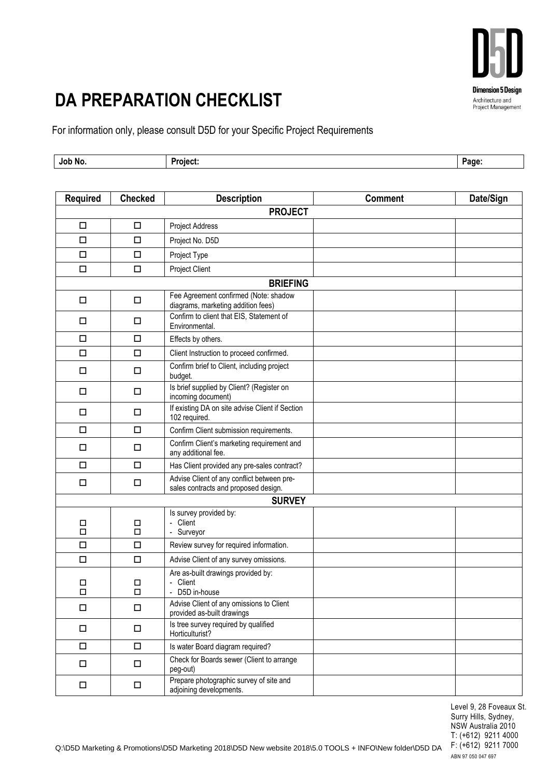

## **DA PREPARATION CHECKLIST**

For information only, please consult D5D for your Specific Project Requirements

| Job No. | $\sim$<br><b>Project</b> | .<br>'age.<br>- - - |
|---------|--------------------------|---------------------|
|         |                          |                     |

| <b>Required</b>  | <b>Checked</b> | <b>Description</b>                                                                 | <b>Comment</b> | Date/Sign |  |  |
|------------------|----------------|------------------------------------------------------------------------------------|----------------|-----------|--|--|
| <b>PROJECT</b>   |                |                                                                                    |                |           |  |  |
| $\Box$           | $\Box$         | Project Address                                                                    |                |           |  |  |
| □                | $\Box$         | Project No. D5D                                                                    |                |           |  |  |
| □                | $\Box$         | Project Type                                                                       |                |           |  |  |
| $\Box$           | $\Box$         | Project Client                                                                     |                |           |  |  |
| <b>BRIEFING</b>  |                |                                                                                    |                |           |  |  |
| □                | □              | Fee Agreement confirmed (Note: shadow<br>diagrams, marketing addition fees)        |                |           |  |  |
| □                | $\Box$         | Confirm to client that EIS, Statement of<br>Environmental.                         |                |           |  |  |
| □                | $\Box$         | Effects by others.                                                                 |                |           |  |  |
| □                | $\Box$         | Client Instruction to proceed confirmed.                                           |                |           |  |  |
| $\Box$           | $\Box$         | Confirm brief to Client, including project<br>budget.                              |                |           |  |  |
| □                | $\Box$         | Is brief supplied by Client? (Register on<br>incoming document)                    |                |           |  |  |
| □                | $\Box$         | If existing DA on site advise Client if Section<br>102 required.                   |                |           |  |  |
| □                | $\Box$         | Confirm Client submission requirements.                                            |                |           |  |  |
| □                | $\Box$         | Confirm Client's marketing requirement and<br>any additional fee.                  |                |           |  |  |
| □                | $\Box$         | Has Client provided any pre-sales contract?                                        |                |           |  |  |
| □                | □              | Advise Client of any conflict between pre-<br>sales contracts and proposed design. |                |           |  |  |
|                  | <b>SURVEY</b>  |                                                                                    |                |           |  |  |
| $\Box$<br>$\Box$ | П<br>$\Box$    | Is survey provided by:<br>- Client<br>- Surveyor                                   |                |           |  |  |
| $\Box$           | $\Box$         | Review survey for required information.                                            |                |           |  |  |
| □                | $\Box$         | Advise Client of any survey omissions.                                             |                |           |  |  |
| $\Box$<br>$\Box$ | □<br>$\Box$    | Are as-built drawings provided by:<br>- Client<br>- D5D in-house                   |                |           |  |  |
| $\Box$           | $\Box$         | Advise Client of any omissions to Client<br>provided as-built drawings             |                |           |  |  |
| $\Box$           | $\Box$         | Is tree survey required by qualified<br>Horticulturist?                            |                |           |  |  |
| $\Box$           | $\Box$         | Is water Board diagram required?                                                   |                |           |  |  |
| $\Box$           | $\Box$         | Check for Boards sewer (Client to arrange<br>peg-out)                              |                |           |  |  |
| □                | $\Box$         | Prepare photographic survey of site and<br>adjoining developments.                 |                |           |  |  |

Level 9, 28 Foveaux St. Surry Hills, Sydney, NSW Australia 2010 T: (+612) 9211 4000 F: (+612) 9211 7000 ABN 97 050 047 697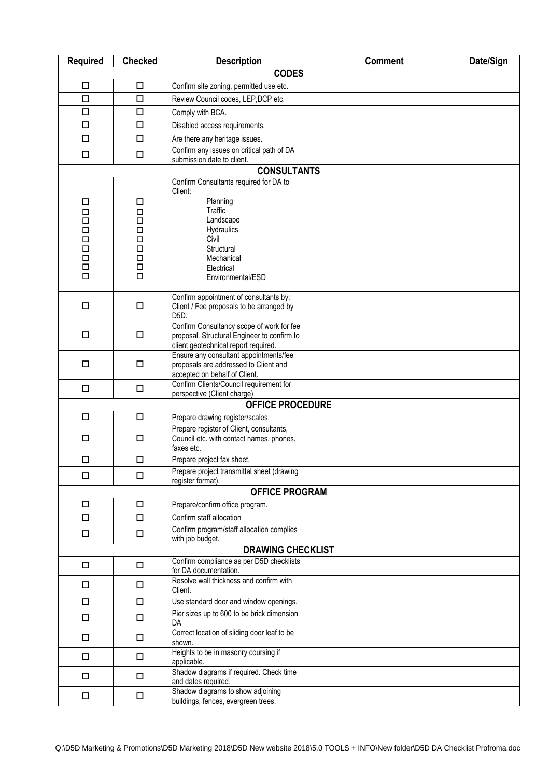| <b>Required</b>          | <b>Checked</b>   | <b>Description</b>                                                           | <b>Comment</b> | Date/Sign |  |
|--------------------------|------------------|------------------------------------------------------------------------------|----------------|-----------|--|
| <b>CODES</b>             |                  |                                                                              |                |           |  |
| $\Box$                   | $\Box$           | Confirm site zoning, permitted use etc.                                      |                |           |  |
| $\Box$                   | $\Box$           | Review Council codes, LEP, DCP etc.                                          |                |           |  |
| $\Box$                   | $\Box$           | Comply with BCA.                                                             |                |           |  |
| □                        | $\Box$           | Disabled access requirements.                                                |                |           |  |
| $\Box$                   | $\Box$           | Are there any heritage issues.                                               |                |           |  |
| $\Box$                   | $\Box$           | Confirm any issues on critical path of DA<br>submission date to client.      |                |           |  |
|                          |                  | <b>CONSULTANTS</b>                                                           |                |           |  |
|                          |                  | Confirm Consultants required for DA to                                       |                |           |  |
| $\Box$                   | $\Box$           | Client:<br>Planning                                                          |                |           |  |
| $\Box$                   | $\Box$           | Traffic                                                                      |                |           |  |
| $\Box$                   | $\Box$           | Landscape                                                                    |                |           |  |
| $\Box$                   | $\Box$<br>$\Box$ | Hydraulics<br>Civil                                                          |                |           |  |
| $\Box$<br>$\Box$         | $\Box$           | Structural                                                                   |                |           |  |
| $\Box$                   | $\Box$           | Mechanical                                                                   |                |           |  |
| $\Box$                   | $\Box$           | Electrical                                                                   |                |           |  |
| $\Box$                   | □                | Environmental/ESD                                                            |                |           |  |
|                          |                  | Confirm appointment of consultants by:                                       |                |           |  |
| $\Box$                   | $\Box$           | Client / Fee proposals to be arranged by                                     |                |           |  |
|                          |                  | D <sub>5</sub> D.<br>Confirm Consultancy scope of work for fee               |                |           |  |
| □                        | $\Box$           | proposal. Structural Engineer to confirm to                                  |                |           |  |
|                          |                  | client geotechnical report required.                                         |                |           |  |
|                          |                  | Ensure any consultant appointments/fee                                       |                |           |  |
| □                        | $\Box$           | proposals are addressed to Client and<br>accepted on behalf of Client.       |                |           |  |
| $\Box$                   | $\Box$           | Confirm Clients/Council requirement for                                      |                |           |  |
|                          |                  | perspective (Client charge)                                                  |                |           |  |
|                          |                  | <b>OFFICE PROCEDURE</b>                                                      |                |           |  |
| $\Box$                   | $\Box$           | Prepare drawing register/scales.<br>Prepare register of Client, consultants, |                |           |  |
| □                        | $\Box$           | Council etc. with contact names, phones,<br>faxes etc.                       |                |           |  |
| $\Box$                   | $\Box$           | Prepare project fax sheet.                                                   |                |           |  |
| $\Box$                   | $\Box$           | Prepare project transmittal sheet (drawing<br>register format).              |                |           |  |
|                          |                  | <b>OFFICE PROGRAM</b>                                                        |                |           |  |
| $\Box$                   | $\Box$           | Prepare/confirm office program.                                              |                |           |  |
| $\Box$                   | $\Box$           | Confirm staff allocation                                                     |                |           |  |
| □                        | $\Box$           | Confirm program/staff allocation complies<br>with job budget.                |                |           |  |
| <b>DRAWING CHECKLIST</b> |                  |                                                                              |                |           |  |
| □                        | $\Box$           | Confirm compliance as per D5D checklists<br>for DA documentation.            |                |           |  |
| □                        | $\Box$           | Resolve wall thickness and confirm with<br>Client.                           |                |           |  |
| $\Box$                   | $\Box$           | Use standard door and window openings.                                       |                |           |  |
| $\Box$                   | $\Box$           | Pier sizes up to 600 to be brick dimension<br>DA                             |                |           |  |
| $\Box$                   | $\Box$           | Correct location of sliding door leaf to be<br>shown.                        |                |           |  |
| $\Box$                   | $\Box$           | Heights to be in masonry coursing if<br>applicable.                          |                |           |  |
| $\Box$                   | $\Box$           | Shadow diagrams if required. Check time<br>and dates required.               |                |           |  |
| $\Box$                   | $\Box$           | Shadow diagrams to show adjoining<br>buildings, fences, evergreen trees.     |                |           |  |